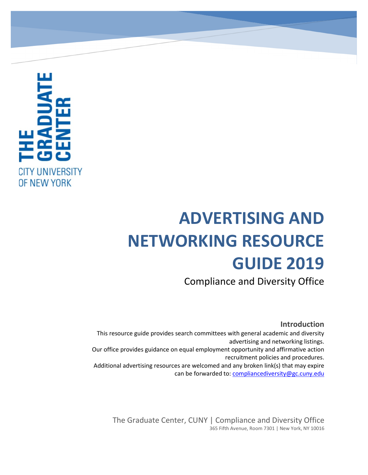

# **ADVERTISING AND NETWORKING RESOURCE GUIDE 2019**

Compliance and Diversity Office

#### **Introduction**

This resource guide provides search committees with general academic and diversity advertising and networking listings. Our office provides guidance on equal employment opportunity and affirmative action recruitment policies and procedures. Additional advertising resources are welcomed and any broken link(s) that may expire can be forwarded to: [compliancediversity@gc.cuny.edu](mailto:compliancediversity@gc.cuny.edu)

The Graduate Center, CUNY | Compliance and Diversity Office 365 Fifth Avenue, Room 7301 | New York, NY 10016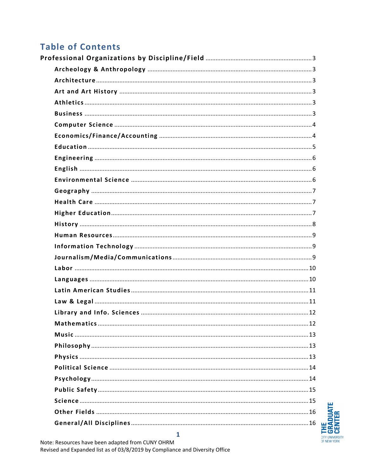# **Table of Contents**

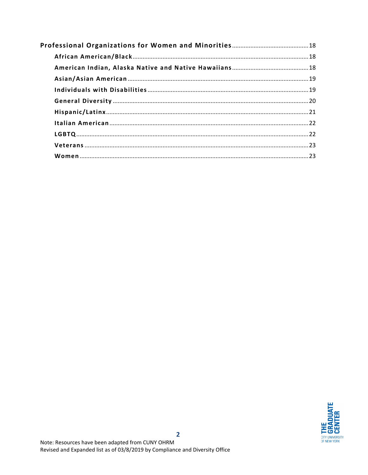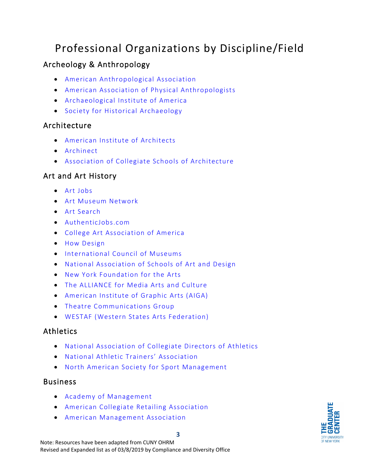# <span id="page-3-0"></span>Professional Organizations by Discipline/Field

## <span id="page-3-1"></span>Archeology & Anthropology

- [American Anthropological Association](https://www.americananthro.org/)
- [American Association of Physical Anthropologists](http://www.physanth.org/)
- [Archaeological Institute of America](http://www.archaeological.org/)
- [Society for Historical Archaeology](https://sha.org/)

#### <span id="page-3-2"></span>Architecture

- [American Institute of Architects](https://www.aia.org/career-center)
- [Archinect](http://archinect.com/jobs)
- [Association of Collegiate Schools of Architecture](http://www.acsa-arch.org/opportunities/find-a-job)

#### <span id="page-3-3"></span>Art and Art History

- [Art Jobs](http://www.artjobs.com/)
- [Art Museum Network](http://www.amn.org/)
- [Art Search](http://artsearch.tcg.org/home)
- [AuthenticJobs.com](https://authenticjobs.com/)
- [College Art Association of America](http://www.collegeart.org/)
- [How Design](http://www.howdesign.com/design-jobs/)
- [International Council of Museums](https://icom.museum/en/)
- [National Association of Schools of Art and Design](https://nasad.arts-accredit.org/)
- [New York Foundation for the Arts](https://www.nyfa.org/jobs)
- [The ALLIANCE for Media Arts and Culture](http://www.thealliance.media/)
- [American Institute of Graphic Arts \(AIGA\)](https://www.aiga.org/)
- [Theatre Communications Group](https://tcg.org/Advocacy/ToolsResources.aspx)
- [WESTAF \(Western States Arts Federation\)](https://www.westaf.org/resources/)

#### <span id="page-3-4"></span>Athletics

- [National Association of Collegiate Directors of Athletics](http://jobcenter.nacda.com/)
- [National Athletic Trainers' Association](http://www.nata.org/)
- [North American Society for Sport Management](https://www.nassm.com/)

#### <span id="page-3-5"></span>**Business**

- [Academy of Management](http://aom.org/)
- [American Collegiate Retailing Association](http://www.acraretail.org/)
- [American Management Association](http://www.amanet.org/index.htm)



Note: Resources have been adapted from CUNY OHRM Revised and Expanded list as of 03/8/2019 by Compliance and Diversity Office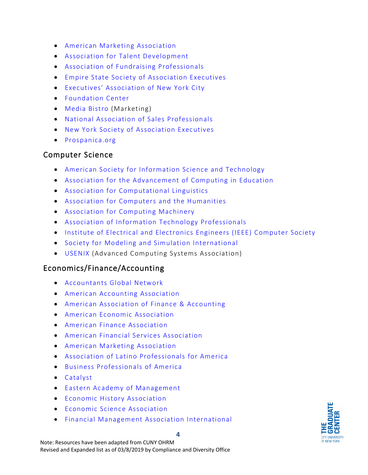- [American Marketing Association](https://www.ama.org/Pages/default.aspx)
- [Association for Talent Development](https://www.td.org/)
- [Association of Fundraising Professionals](https://jobs.afpnet.org/jobseekers/index.cfm)
- [Empire State Society of Association Executives](https://www.essae.org/)
- [Executives' Association of New York City](https://www.eanyc.com/)
- [Foundation Center](http://foundationcenter.org/)
- [Media Bistro \(](https://www.mediabistro.com/jobs/openings/)Marketing)
- [National Association of Sales Professionals](http://www.nasp.com/)
- [New York Society of Association Executives](https://www.nysaenet.org/home)
- [Prospanica.org](https://www.prospanica.org/)

#### <span id="page-4-0"></span>Computer Science

- [American Society for Information Science and Technology](http://www.asis.org/)
- [Association for the Advancement of Computing in Education](http://www.aace.org/)
- [Association for Computational Linguistics](http://www.aclweb.org/)
- [Association for Computers and the Humanities](http://www.ach.org/)
- [Association for Computing Machinery](http://www.acm.org/)
- [Association of Information](http://www.aitp.org/) Technology Professionals
- [Institute of Electrical and Electronics Engineers \(IEEE\) Computer Society](http://www.computer.org/portal/web/guest/home)
- [Society for Modeling and Simulation International](http://www.scs.org/)
- [USENIX \(](https://www.usenix.org/)Advanced Computing Systems Association)

#### <span id="page-4-1"></span>Economics/Finance/Accounting

- [Accountants Global Network](http://www.agn.org/)
- [American Accounting Association](http://aaahq.org/Career-Center)
- [American Association of Finance & Accounting](http://www.aafa.com/)
- [American Economic Association](http://www.aeaweb.org/)
- [American Finance Association](http://careers.afajof.org/)
- [American Financial Services Association](https://www.afsaonline.org/About/-How-to-Join)
- [American Marketing Association](https://www.ama.org/Pages/default.aspx)
- [Association of Latino Professionals for America](https://www.alpfa.org/default.aspx)
- [Business Professionals of America](http://www.bpa.org/)
- [Catalyst](https://www.catalyst.org/)
- [Eastern Academy of Management](https://www.eaom.org/)
- [Economic History Association](http://eh.net/)
- [Economic Science Association](http://www.economicscience.org/)
- [Financial Management Association International](https://www.fma.org/)

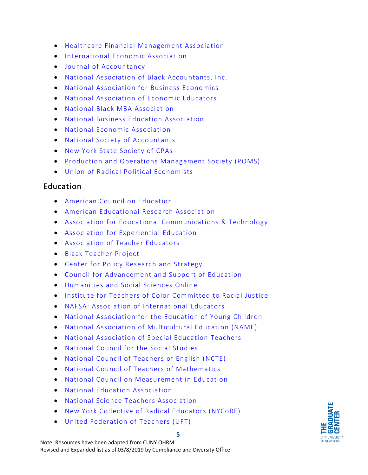- [Healthcare Financial Management Association](https://www.hfma.org/)
- [International Economic Association](http://www.iea-world.org/)
- [Journal of Accountancy](http://www.journalofaccountancy.com/)
- [National Association of Black Accountants, Inc.](https://www.nabainc.org/)
- [National Association for Business Economics](http://www.nabe.com/)
- [National Association of Economic Educators](https://naee.net/)
- [National Black MBA Association](https://nbmbaa.org/)
- [National Business Education Association](http://www.nbea.org/)
- [National Economic Association](http://www.neaecon.org/)
- [National Society of Accountants](https://www.nsacct.org/home)
- [New York State Society of CPAs](http://www.nysscpa.org/)
- [Production and Operations Management Society \(POMS\)](http://www.poms.org/)
- [Union of Radical Political Economists](https://urpe.org/)

#### <span id="page-5-0"></span>Education

- [American Council on Education](http://www.acenet.edu/)
- [American Educational Research Association](http://www.aera.net/)
- [Association for Educational Communications & Technology](http://www.aect.org/)
- [Association for Experiential Education](http://www.aee.org/)
- [Association of Teacher Educators](http://www.ate1.org/)
- [Black Teacher Project](http://www.blackteacherproject.org/)
- [Center for Policy Research and Strategy](http://www.acenet.edu/news-room/Pages/Center-for-Policy-Research-and-Strategy.aspx)
- [Council for Advancement and Support of Education](http://www.case.org/)
- [Humanities and Social Sciences Online](https://networks.h-net.org/)
- [Institute for Teachers of Color Committed to Racial Justice](http://www.instituteforteachersofcolor.org/)
- [NAFSA: Association of International Educators](http://www.nafsa.org/)
- [National Association for the Education of Young Children](http://www.naeyc.org/)
- [National Association of Multicultural Education \(NAME\)](https://www.nameorg.org/)
- [National Association of Special Education Teachers](https://www.naset.org/)
- [National Council for the Social Studies](https://www.socialstudies.org/)
- [National Council of Teachers of English \(NCTE\)](http://www2.ncte.org/)
- [National Council of Teachers of Mathematics](https://www.nctm.org/)
- [National Council on Measurement in Education](http://www.ncme.org/)
- [National Education Association](http://www.nea.org/)
- [National Science Teachers Association](https://www.nsta.org/)
- [New York Collective of Radical Educators \(NYCoRE\)](http://www.nycore.org/)
- [United Federation of Teachers \(UFT\)](http://www.uft.org/)



Note: Resources have been adapted from CUNY OHRM Revised and Expanded list as of 03/8/2019 by Compliance and Diversity Office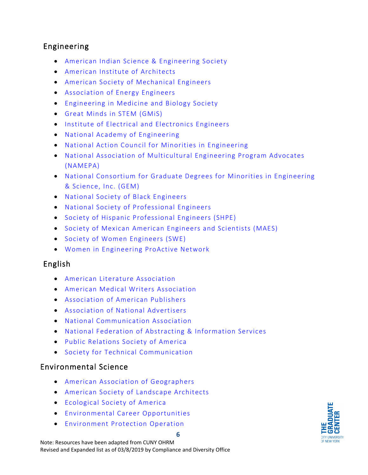#### <span id="page-6-0"></span>Engineering

- [American Indian Science & Engineering Society](http://www.aises.org/)
- [American Institute of Architects](http://www.aia.org/)
- [American Society of Mechanical Engineers](https://jobsearch.asme.org/)
- [Association of Energy Engineers](http://www.aeecenter.org/)
- [Engineering in Medicine and Biology Society](http://www.embs.org/)
- [Great Minds in STEM \(GMiS\)](http://www.greatmindsinstem.org/)
- [Institute of Electrical and Electronics Engineers](https://www.ieee.org/index.html)
- [National Academy of Engineering](https://www.nae.edu/)
- [National Action Council for Minorities in Engineering](http://www.nacme.org/)
- [National Association of Multicultural Engineering Program Advocates](http://www.namepa.org/)  [\(NAMEPA\)](http://www.namepa.org/)
- [National Consortium for Graduate Degrees for Minorities in Engineering](http://www.gemfellowship.org/)  [& Science, Inc. \(GEM\)](http://www.gemfellowship.org/)
- [National Society of Black Engineers](http://www.nsbe.org/home.aspx)
- [National Society of Professional Engineers](http://www.nspe.org/)
- [Society of Hispanic Professional Engineers \(SHPE\)](https://shpe.org/)
- [Society of Mexican American Engineers and Scientists \(MAES\)](http://mymaes.org/)
- [Society of Women Engineers \(SWE\)](http://societyofwomenengineers.swe.org/)
- [Women in Engineering ProActive Network](https://www.wepan.org/default.aspx)

#### <span id="page-6-1"></span>English

- [American Literature Association](http://www.americanliterature.org/)
- [American Medical Writers Association](http://www.amwa.org/)
- [Association of American Publishers](http://www.publishers.org/)
- [Association of National Advertisers](http://www.ana.net/)
- [National Communication Association](http://www.natcom.org/)
- [National Federation of Abstracting & Information Services](http://www.nfais.org/)
- [Public Relations Society of America](http://www.prsa.org/)
- [Society for Technical Communication](https://www.stc.org/)

#### <span id="page-6-2"></span>Environmental Science

- [American Association of Geographers](http://www.aag.org/cs/careers)
- [American Society of Landscape Architects](https://www.asla.org/Default.aspx)
- [Ecological Society of America](http://www.esa.org/)
- [Environmental Career Opportunities](http://www.ecojobs.com/)
- [Environment Protection Operation](http://www.e-p-o.org/)

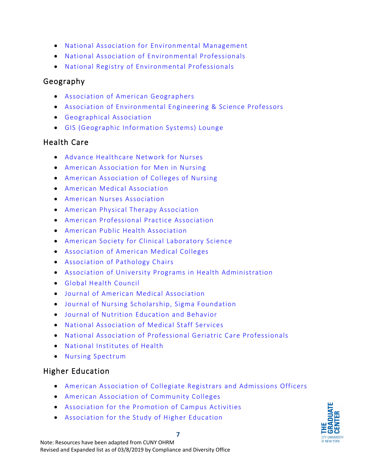- [National Association for Environmental Management](http://www.naem.org/)
- [National Association of Environmental Professionals](http://www.naep.org/)
- <span id="page-7-0"></span>• [National Registry of Environmental Professionals](http://www.nrep.org/)

#### Geography

- [Association of American Geographers](http://aag.org/)
- [Association of Environmental Engineering & Science Professors](https://www.aeesp.org/)
- [Geographical Association](https://www.geography.org.uk/)
- [GIS \(Geographic Information Systems\) Lounge](https://www.gislounge.com/organizations/)

#### <span id="page-7-1"></span>Health Care

- [Advance Healthcare Network for Nurses](http://nursing.advanceweb.com/)
- [American Association for Men in Nursing](http://aamn-jobs.careerwebsite.com/)
- [American Association of Colleges of Nursing](https://www.aacnnursing.org/)
- [American Medical Association](http://www.ama-assn.org/)
- [American Nurses Association](http://www.nursingworld.org/)
- [American Physical Therapy Association](http://aptaapps.apta.org/careers/default.aspx)
- [American Professional Practice Association](https://appa-assn.com/)
- [American Public Health Association](http://www.apha.org/)
- [American Society for Clinical Laboratory Science](http://www.ascls.org/)
- [Association of American Medical Colleges](https://www.aamc.org/)
- [Association of Pathology Chairs](http://careers.apcprods.org/)
- [Association of University Programs in Health Administration](https://aupha.careerwebsite.com/jobs/)
- [Global Health Council](http://globalhealth.org/)
- [Journal of American Medical Association](http://jamanetwork.com/journals/jama)
- [Journal of Nursing Scholarship, Sigma Foundation](https://www.sigmanursing.org/)
- Journal [of Nutrition Education and Behavior](http://www.jneb.org/)
- [National Association of Medical Staff Services](http://www.namss.org/)
- [National Association of Professional Geriatric Care Professionals](http://www.aginglifecare.org/)
- [National Institutes of Health](http://www.nih.gov/)
- [Nursing Spectrum](https://www.nurse.com/jobs)

#### <span id="page-7-2"></span>Higher Education

- [American Association of Collegiate Registrars and Admissions Officers](https://jobs.aacrao.org/)
- [American Association of Community Colleges](http://www.aacc.nche.edu/)
- [Association for the Promotion of Campus Activities](http://www.apca.com/)
- [Association for the Study of Higher Education](https://www.ashe.ws/)

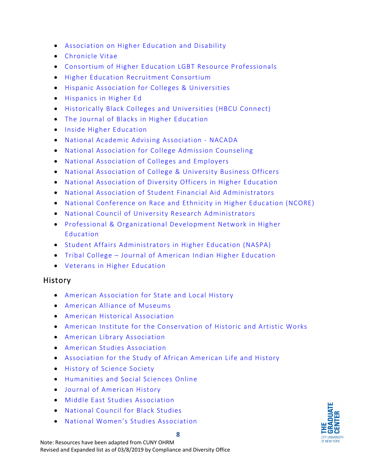- [Association on Higher Education and Disability](http://www.ahead.org/)
- [Chronicle Vitae](https://chroniclevitae.com/)
- [Consortium of Higher Education LGBT Resource Professionals](https://www.lgbtcampus.org/)
- [Higher Education Recruitment Consortium](https://www.hercjobs.org/)
- [Hispanic Association for Colleges & Universities](http://www.hacu.net/)
- [Hispanics in Higher Ed](http://www.hispanicsinhighered.com/)
- [Historically Black Colleges and Universities \(HBCU Connect\)](http://hbcuconnect.com/cgi-bin/jobs/index.cgi)
- [The Journal of Blacks in Higher Education](https://www.jbhe.com/jobs/)
- [Inside Higher Education](https://careers.insidehighered.com/)
- [National Academic Advising Association](https://www.nacada.ksu.edu/) NACADA
- [National Association for College Admission Counseling](https://www.nacacnet.org/)
- [National Association of Colleges and Employers](http://www.naceweb.org/)
- [National Association of College & University Business Officers](http://www.nacubo.org/)
- National Association of [Diversity Officers in Higher Education](https://www.nadohe.org/)
- [National Association of Student Financial Aid Administrators](https://www.nasfaa.org/)
- [National Conference on Race and Ethnicity in Higher Education \(NCORE\)](http://www.ncore.ou.edu/)
- [National Council of University Research Administrators](http://www.ncura.edu/CareerCenter.aspx)
- [Professional & Organizational Development Network in Higher](https://podnetwork.org/)  [Education](https://podnetwork.org/)
- [Student Affairs Administrators in Higher Education](https://www.naspa.org/) (NASPA)
- Tribal College [Journal of American Indian Higher Education](https://tribalcollegejournal.org/)
- [Veterans in Higher Education](https://www.veteransinhighered.com/)

#### <span id="page-8-0"></span>History

- [American Association for State and Local History](http://www.aaslh.org/)
- [American Alliance](https://www.aam-us.org/) of Museums
- [American Historical Association](http://www.historians.org/)
- [American Institute for the Conservation of Historic and Artistic Works](http://www.conservation-us.org/)
- [American Library Association](http://www.ala.org/)
- [American Studies Association](https://www.theasa.net/jobs-opportunities)
- [Association for the Study of African American Life and History](https://asalh.org/)
- [History of Science Society](https://hssonline.org/)
- [Humanities and Social Sciences Online](https://networks.h-net.org/)
- [Journal of American History](https://jah.oah.org/)
- [Middle East Studies Association](http://mesana.org/)
- [National Council for Black Studies](http://www.ncbsonline.org/)
- [National Women's Studies Association](http://www.nwsa.org/)

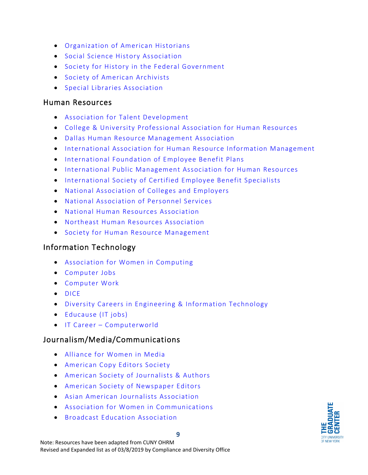- [Organization of American Historians](http://www.oah.org/)
- [Social Science History Association](http://www.ssha.org/)
- [Society for History in the Federal Government](http://www.shfg.org/)
- [Society of American Archivists](http://www.archivists.org/)
- [Special Libraries Association](http://www.sla.org/)

#### <span id="page-9-0"></span>Human Resources

- [Association for Talent Development](http://www.td.org/)
- [College & University Professional Association for Human Resources](http://www.cupahr.org/)
- [Dallas Human Resource Management Association](http://www.dallashr.org/)
- [International Association for Human Resource Information Management](http://www.ihrim.org/)
- [International Foundation of Employee Benefit Plans](https://www.ifebp.org/Resources/jobsinbenefits/Pages/default.aspx)
- [International Public Management Association for Human Resources](http://www.ipma-hr.org/)
- [International Society of Certified Employee Benefit Specialists](http://www.iscebs.org/)
- [National Association of Colleges and Employers](http://www.naceweb.org/)
- [National Association of Personnel Services](http://www.naps360.org/)
- [National Human Resources Association](http://www.humanresources.org/)
- [Northeast Human Resources Association](http://jobs.nehra.com/)
- [Society for Human Resource Management](http://www.shrm.org/)

#### <span id="page-9-1"></span>Information Technology

- [Association for Women in Computing](http://www.awc-hq.org/)
- [Computer Jobs](https://www.computerjobs.com/us/en/IT-Jobs/)
- [Computer Work](https://www.computerwork.com/us/en/IT-Jobs/)
- [DICE](https://www.dice.com/)
- Diversity Careers [in Engineering & Information Technology](http://www.diversitycareers.com/)
- [Educause \(IT jobs\)](https://www.educause.edu/)
- IT Career [Computerworld](https://www.computerworld.com/category/it-careers/)

#### <span id="page-9-2"></span>Journalism/Media/Communications

- [Alliance for Women in Media](https://allwomeninmedia.org/)
- [American Copy Editors Society](http://www.copydesk.org/)
- [American Society of Journalists & Authors](http://www.asja.org/)
- [American Society of Newspaper Editors](http://www.asne.org/)
- [Asian American Journalists Association](https://www.aaja.org/career_center)
- [Association for Women in Communications](https://awc.careerwebsite.com/)
- [Broadcast Education Association](https://www.beaweb.org/JB/)

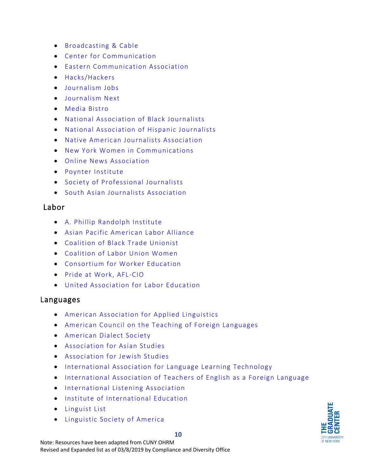- [Broadcasting & Cable](https://broadcastingcable-jobs.careerwebsite.com/)
- [Center for Communication](https://www.centerforcommunication.org/)
- [Eastern Communication Association](https://www.ecasite.org/aws/ECA/pt/sp/jobs)
- [Hacks/Hackers](https://hackshackers.com/)
- [Journalism Jobs](http://www.journalismjobs.com/index.php)
- [Journalism Next](http://www.journalismnext.com/index.cfm?requesttimeout=500)
- [Media Bistro](https://www.mediabistro.com/)
- [National Association of Black Journalists](https://www.nabj.org/)
- [National Association of Hispanic Journalists](http://www.nahj.org/)
- [Native American Journalists Association](https://najanewsroom.com/jobs/)
- [New York Women in Communications](https://nywici.org/advance/jobs-internships/)
- [Online News Association](http://www.journalists.org/)
- [Poynter Institute](https://www.poynter.org/)
- [Society of Professional Journalists](https://www.spj.org/)
- [South Asian Journalists Association](http://saja.org/jobs)

#### <span id="page-10-0"></span>Labor

- [A. Phillip Randolph Institute](http://www.apri.org/)
- [Asian Pacific American Labor Alliance](https://www.apalanet.org/)
- [Coalition of Black Trade Unionist](http://www.cbtu.org/)
- [Coalition of Labor Union Women](http://www.cluw.org/)
- [Consortium for Worker Education](http://www.cwe.org/)
- [Pride at Work, AFL-CIO](http://www.prideatwork.org/)
- [United Association for Labor Education](https://uale.org/resources-list/job-board)

#### <span id="page-10-1"></span>Languages

- [American Association for Applied Linguistics](http://www.aaal.org/)
- [American Council on the Teaching of Foreign Languages](https://www.actfl.org/)
- [American Dialect Society](http://www.americandialect.org/)
- [Association for Asian Studies](http://www.asian-studies.org/AASJobBoard)
- [Association for Jewish Studies](http://www.ajsnet.org/)
- [International Association for Language Learning Technology](http://www.iallt.org/)
- [International Association of Teachers of English as a Foreign Language](http://www.iatefl.org/)
- [International Listening Association](http://www.listen.org/)
- [Institute of International Education](http://www.iie.org/)
- [Linguist List](https://linguistlist.org/)
- [Linguistic Society of America](http://www.linguisticsociety.org/)

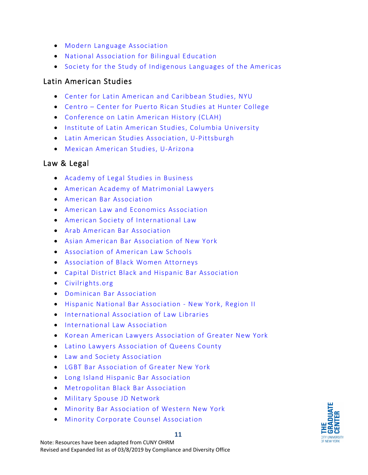- [Modern Language Association](https://www.mla.org/Resources/Career/Job-Information-List)
- [National Association for Bilingual Education](http://www.nabe.org/)
- [Society for the Study of Indigenous Languages of the Americas](http://www.ssila.org/)

#### <span id="page-11-0"></span>Latin American Studies

- [Center for Latin American and Caribbean Studies, NYU](http://as.nyu.edu/content/nyu-as/as/research-centers/clacs.html)
- Centro [Center for Puerto Rican Studies at Hunter College](https://centropr.hunter.cuny.edu/)
- [Conference on Latin American History \(CLAH\)](http://clah.h-net.org/)
- [Institute of Latin American Studies, Columbia University](http://ilas.columbia.edu/)
- [Latin American Studies Association, U-Pittsburgh](https://lasaweb.org/en/job-seekers/)
- [Mexican American Studies, U-Arizona](https://mas.arizona.edu/)

#### <span id="page-11-1"></span>Law & Legal

- [Academy of Legal Studies in Business](http://www.alsb.org/)
- [American Academy of Matrimonial Lawyers](http://www.aaml.org/)
- [American Bar Association](http://www.abanet.org/home.html)
- [American Law and Economics Association](http://www.amlecon.org/)
- [American Society of International Law](http://www.asil.org/)
- [Arab American Bar Association](http://www.arabamericanbar.org/)
- [Asian American Bar Association of New York](http://www.aabany.org/)
- [Association of American Law Schools](http://www.aals.org/)
- [Association of Black Women Attorneys](http://abwanewyork.org/)
- [Capital District Black and Hispanic Bar Association](http://www.cdbhba.org/)
- [Civilrights.org](http://www.civilrights.org/)
- [Dominican Bar Association](http://www.dominicanbarassociation.org/)
- [Hispanic National Bar Association](https://hnba.com/career-center/) New York, Region II
- [International Association of Law Libraries](http://www.iall.org/)
- [International Law Association](http://www.ila-hq.org/)
- [Korean American Lawyers Association of Greater New York](http://www.kalagny.org/)
- [Latino Lawyers Association of Queens County](http://latinolawyers.org/)
- [Law and Society Association](http://www.lawandsociety.org/)
- [LGBT Bar Association of Greater New York](http://le-gal.org/)
- [Long Island Hispanic Bar Association](http://www.lihba.org/jobopportunities.html)
- [Metropolitan Black Bar Association](http://www.mbbanyc.org/)
- [Military Spouse JD Network](https://www.msjdn.org/public-directory/)
- [Minority Bar Association of Western New York](http://mbawny.org/)
- [Minority Corporate Counsel Association](https://www.mcca.com/career-center/)

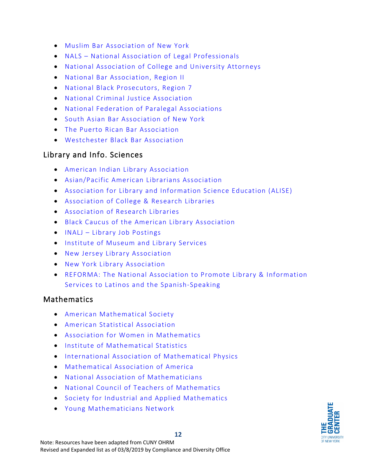- [Muslim Bar Association of New York](https://www.mubany.org/)
- NALS [National Association of Legal Professionals](http://www.nals.org/)
- [National Association of College and University Attorneys](http://www.nacua.org/)
- [National Bar Association,](http://www.nationalbar.org/) Region II
- [National Black Prosecutors,](http://blackprosecutors.org/) Region 7
- [National Criminal Justice Association](http://www.ncja.org/)
- [National Federation of Paralegal Associations](http://www.paralegals.org/)
- [South Asian Bar Association of New York](http://www.sabany.org/)
- [The Puerto Rican Bar](http://prbany.com/) Association
- [Westchester Black Bar Association](http://www.wbbany.org/)

#### <span id="page-12-0"></span>Library and Info. Sciences

- [American Indian Library Association](https://ailanet.org/)
- [Asian/Pacific American Librarians Association](http://www.apalaweb.org/)
- [Association for Library and Information Science Education \(ALISE\)](http://www.alise.org/)
- [Association of College & Research Libraries](http://www.ala.org/acrl/)
- [Association of Research Libraries](http://www.arl.org/)
- [Black Caucus of the American Library Association](http://www.bcala.org/)
- INALJ [Library Job Postings](http://inalj.com/)
- [Institute of Museum and Library Services](https://www.imls.gov/)
- [New Jersey Library Association](https://njla.org/)
- [New York Library Association](https://www.nyla.org/max/index.html)
- [REFORMA: The National Association to Promote Library & Information](http://www.reforma.org/)  [Services to Latinos and the Spanish-Speaking](http://www.reforma.org/)

#### <span id="page-12-1"></span>**Mathematics**

- [American Mathematical Society](http://www.ams.org/)
- [American Statistical Association](http://www.amstat.org/)
- [Association for Women in Mathematics](http://www.awm-math.org/)
- [Institute of Mathematical Statistics](http://www.imstat.org/)
- [International Association of Mathematical Physics](http://www.iamp.org/)
- [Mathematical Association of America](http://www.maa.org/)
- [National Association of Mathematicians](https://www.nam-math.org/)
- [National Council of Teachers of Mathematics](http://www.nctm.org/)
- [Society for Industrial and Applied Mathematics](http://www.siam.org/)
- [Young Mathematicians Network](https://youngmathematiciansnetwork.wordpress.com/)

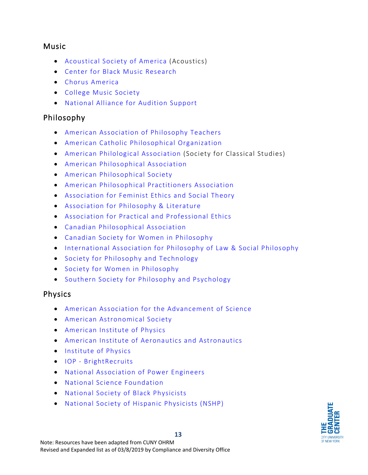#### <span id="page-13-0"></span>Music

- [Acoustical Society of America \(](http://acousticalsociety.org/)Acoustics)
- [Center for Black Music Research](https://about.colum.edu/cbmr/index.html)
- [Chorus America](https://www.chorusamerica.org/)
- [College Music Society](https://www.music.org/)
- [National Alliance for Audition Support](http://www.sphinxmusic.org/national-alliance-for-audition-support/)

#### <span id="page-13-1"></span>Philosophy

- [American Association of Philosophy Teachers](http://www.philosophyteachers.org/)
- [American Catholic Philosophical Organization](http://www.acpaweb.org/)
- [American Philological Association \(](http://www.apaclassics.org/)Society for Classical Studies)
- [American Philosophical Association](http://www.apaonline.org/)
- [American Philosophical Society](https://www.amphilsoc.org/)
- [American Philosophical Practitioners Association](http://www.appa.edu/)
- [Association for Feminist Ethics](http://www.afeast.org/) and Social Theory
- [Association for Philosophy & Literature](https://www.philosophyliterature.com/)
- [Association for Practical and Professional Ethics](https://appe-ethics.org/)
- [Canadian Philosophical Association](http://www.acpcpa.ca/)
- [Canadian Society for Women in Philosophy](http://cswip.ca/)
- [International Association for Philosophy of Law & Social Philosophy](https://ivronlineblog.wordpress.com/)
- [Society for Philosophy and Technology](http://www.spt.org/)
- [Society for Women in Philosophy](http://www.uh.edu/%7Ecfreelan/SWIP/)
- [Southern Society for Philosophy and Psychology](http://southernsociety.org/)

#### <span id="page-13-2"></span>Physics

- [American Association for the Advancement of Science](http://www.aaas.org/)
- [American Astronomical Society](http://www.aas.org/)
- [American Institute of Physics](http://www.aip.org/)
- [American Institute of Aeronautics and Astronautics](http://www.aiaa.org/)
- [Institute of Physics](http://www.iop.org/)
- IOP [BrightRecruits](https://brightrecruits.com/)
- [National Association of Power Engineers](http://www.powerengineers.com/)
- [National Science Foundation](http://www.nsf.gov/)
- [National Society of Black Physicists](https://nsbp.org/)
- [National Society of Hispanic Physicists \(NSHP\)](http://www.hispanicphysicists.org/index.html)

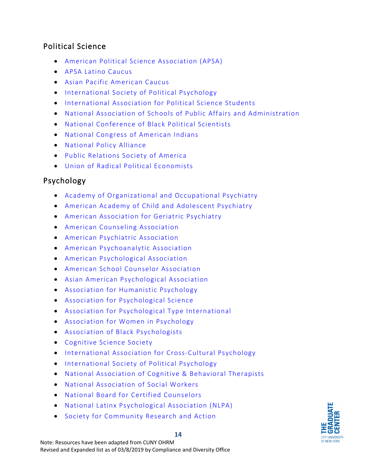#### <span id="page-14-0"></span>Political Science

- [American Political Science Association](http://www.apsanet.org/) (APSA)
- [APSA Latino Caucus](http://latinocaucus.weebly.com/)
- [Asian Pacific American Caucus](http://www.apa-politics.org/)
- [International Society of Political Psychology](http://ispp.org/)
- [International Association for Political Science Students](http://www.iapss.org/)
- [National Association of Schools of Public Affairs and Administration](http://www.naspaa.org/)
- [National Conference of Black Political Scientists](https://www.ncobps.org/default.aspx)
- [National Congress of American Indians](http://www.ncai.org/)
- [National Policy Alliance](https://npalinks.org/)
- [Public Relations Society of America](http://www.prsa.org/)
- [Union of Radical Political Economists](https://urpe.org/)

# <span id="page-14-1"></span>Psychology

- [Academy of Organizational and Occupational Psychiatry](http://www.aoop.org/)
- [American Academy of Child and Adolescent Psychiatry](http://www.aacap.org/)
- [American Association for Geriatric Psychiatry](https://www.aagponline.org/index.php)
- [American Counseling Association](http://www.counseling.org/)
- [American Psychiatric Association](http://www.psych.org/)
- [American Psychoanalytic Association](http://www.apsa.org/)
- [American Psychological Association](http://www.apa.org/)
- [American School Counselor Association](http://www.schoolcounselor.org/)
- [Asian American Psychological Association](https://aapaonline.org/)
- [Association for Humanistic Psychology](http://www.ahpweb.org/)
- [Association for Psychological Science](http://www.psychologicalscience.org/career-resources)
- [Association for Psychological Type](https://www.aptinternational.org/) International
- [Association for Women in Psychology](https://www.awpsych.org/)
- [Association of Black Psychologists](http://www.abpsi.org/)
- [Cognitive Science](http://www.cognitivesciencesociety.org/) Society
- [International Association for Cross-Cultural Psychology](http://www.iaccp.org/)
- [International Society of Political Psychology](http://ispp.org/)
- [National Association of Cognitive & Behavioral Therapists](http://www.nacbt.org/)
- [National Association of Social Workers](http://www.naswdc.org/)
- [National Board for Certified Counselors](http://www.nbcc.org/)
- [National Latinx Psychological Association \(NLPA\)](https://www.nlpa.ws/)
- [Society for Community Research and Action](http://www.scra27.org/)

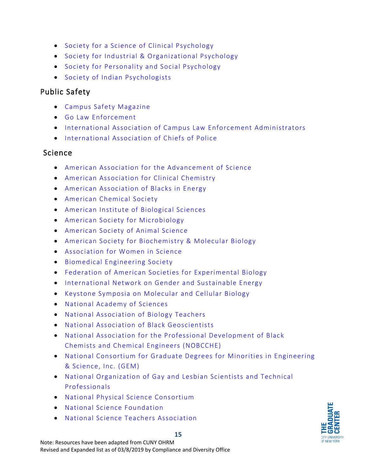- [Society for a Science of Clinical Psychology](http://www.sscpweb.org/)
- [Society for Industrial & Organizational Psychology](http://siop.org/)
- [Society for Personality and Social Psychology](http://www.spsp.org/)
- [Society of Indian Psychologists](https://www.aiansip.org/)

# <span id="page-15-0"></span>Public Safety

- [Campus Safety Magazine](http://www.campussafetymagazine.com/)
- [Go Law Enforcement](http://www.golawenforcement.com/jobs.htm)
- [International Association of Campus Law Enforcement Administrators](http://www.iaclea.org/visitors/career/index.cfm)
- [International Association of Chiefs of Police](http://www.iacp.org/Jobs)

## <span id="page-15-1"></span>Science

- [American Association for the Advancement of](http://www.aaas.org/) Science
- [American Association for Clinical Chemistry](http://www.aacc.org/)
- [American Association of Blacks in Energy](https://www.aabe.org/index.php)
- [American Chemical Society](https://www.acs.org/content/acs/en.html)
- [American Institute of Biological Sciences](http://www.aibs.org/)
- [American Society for Microbiology](http://www.asm.org/)
- [American Society of Animal Science](http://www.asas.org/)
- [American Society for Biochemistry & Molecular Biology](http://www.asbmb.org/)
- [Association for Women in Science](https://www.awis.org/)
- [Biomedical Engineering Society](http://www.bmes.org/)
- [Federation of American Societies for Experimental Biology](http://www.faseb.org/)
- [International Network on Gender and Sustainable Energy](https://www.energia.org/)
- [Keystone Symposia on Molecular and Cellular Biology](http://www.keystonesymposia.org/index.cfm?e=Web.Home)
- [National Academy of Sciences](http://www.nasonline.org/)
- [National Association of Biology Teachers](http://www.nabt.org/)
- [National Association of Black Geoscientists](http://www.nabg-us.org/)
- [National Association for the Professional Development of Black](https://www.nobcche.org/)  [Chemists and Chemical Engineers \(NOBCCHE\)](https://www.nobcche.org/)
- [National Consortium for Graduate Degrees for Minorities in Engineering](http://www.gemfellowship.org/)  [& Science, Inc. \(GEM\)](http://www.gemfellowship.org/)
- [National Organization of Gay and Lesbian Scientists and Technical](http://www.noglstp.org/)  [Professionals](http://www.noglstp.org/)
- [National Physical Science Consortium](http://www.npsc.org/)
- [National Science Foundation](http://www.nsf.gov/)
- [National Science Teachers Association](https://www.nsta.org/)



#### **15**

Note: Resources have been adapted from CUNY OHRM Revised and Expanded list as of 03/8/2019 by Compliance and Diversity Office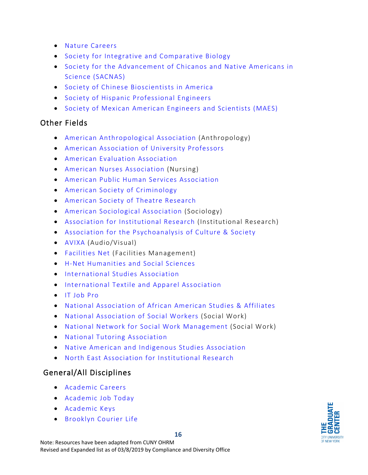- [Nature Careers](http://www.nature.com/naturejobs/science/)
- [Society for Integrative and Comparative Biology](http://www.sicb.org/)
- [Society for the Advancement of Chicanos and Native Americans in](https://www.sacnas.org/)  [Science \(SACNAS\)](https://www.sacnas.org/)
- [Society of Chinese Bioscientists in America](http://www.scbasociety.org/)
- [Society of Hispanic Professional Engineers](https://shpe.org/)
- [Society of Mexican American Engineers and Scientists \(MAES\)](https://mymaes.org/)

## <span id="page-16-0"></span>Other Fields

- [American Anthropological Association \(](http://careercenter.aaanet.org/jobs)Anthropology)
- [American Association of University Professors](https://www.aaup.org/)
- [American Evaluation Association](http://www.eval.org/p/cm/ld/fid%3D1)
- [American Nurses Association](https://www.nursingworld.org/) (Nursing)
- [American Public Human Services Association](http://aphsa.careerwebsite.com/)
- [American Society of Criminology](http://www.asc41.com/)
- [American Society of Theatre Research](https://astr.site-ym.com/store/ListProducts.aspx?catid=225079)
- [American Sociological Association \(](http://www.asanet.org/career-center)Sociology)
- [Association for Institutional Research \(](https://www.airweb.org/resources-tools/job-board)Institutional Research)
- [Association for the Psychoanalysis of Culture & Society](https://www.apcsweb.net/)
- [AVIXA \(](https://jobsite.avixa.org/employers/)Audio/Visual)
- [Facilities Net \(](http://www.facilitiesnet.com/careercenter/)Facilities Management)
- [H-Net Humanities and Social Sciences](https://www.h-net.org/)
- [International Studies Association](http://www.isanet.org/Programs/Job-Board)
- [International Textile and Apparel Association](http://itaaonline.org/)
- [IT Job Pro](https://itjobpro.com/)
- [National Association of African American Studies & Affiliates](https://www.naaas.org/)
- [National Association of Social Workers](http://www.naswdc.org/) (Social Work)
- [National Network for Social Work Management](https://socialworkmanager.org/) (Social Work)
- [National Tutoring Association](http://www.ntatutor.com/)
- [Native American and Indigenous Studies Association](https://www.naisa.org/)
- [North East Association for Institutional Research](http://www.neair.org/)

#### <span id="page-16-1"></span>General/All Disciplines

- [Academic Careers](http://academiccareers.com/index.html)
- [Academic Job Today](https://www.academicjobs.net/today)
- [Academic Keys](http://www.academickeys.com/all/choose_discipline.php?go=find_a_job)
- [Brooklyn Courier Life](http://www.brooklyndaily.com/)

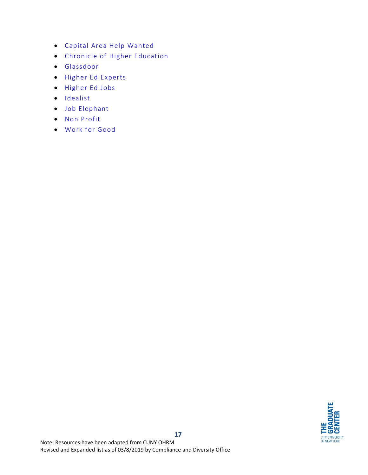- [Capital Area Help Wanted](https://regionalhelpwanted.com/capital-area-jobs/)
- [Chronicle of Higher Education](https://chroniclevitae.com/job_search/new)
- [Glassdoor](https://www.glassdoor.com/index.htm)
- [Higher Ed Experts](http://higheredexperts.com/edu/)
- [Higher Ed Jobs](https://www.higheredjobs.com/search/)
- [Idealist](http://www.idealist.org/search/v2/?search_type=job)
- [Job Elephant](https://www.jobelephant.com/)
- [Non Profit](https://www.nonprofitjobs.org/)
- [Work for Good](https://www.workforgood.org/)

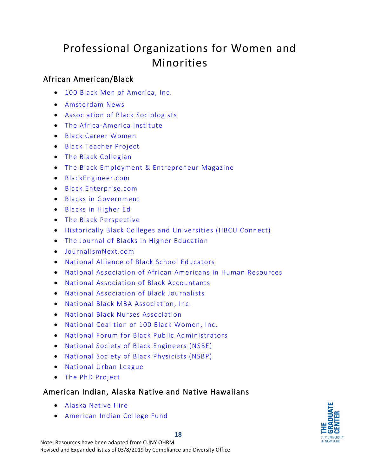# <span id="page-18-0"></span>Professional Organizations for Women and Minorities

## <span id="page-18-1"></span>African American/Black

- [100 Black Men of America, Inc.](https://100blackmen.org/)
- [Amsterdam News](http://amsterdamnews.com/)
- [Association of Black Sociologists](http://www.associationofblacksociologists.org/careers/)
- [The Africa-America Institute](https://www.aaionline.org/)
- [Black Career Women](https://bcwnetwork.com/)
- [Black Teacher Project](http://www.blackteacherproject.org/)
- [The Black Collegian](http://www.black-collegian.com/)
- [The Black Employment & Entrepreneur Magazine](http://www.blackeoejournal.com/)
- [BlackEngineer.com](http://www.blackengineer.com/)
- [Black Enterprise.com](http://www.blackenterprise.com/)
- [Blacks in Government](http://www.bignet.org/)
- [Blacks in Higher Ed](http://www.blacksinhighered.com/)
- [The Black Perspective](https://blackperspective.com/upload-a-job-posting/)
- [Historically Black Colleges and Universities \(HBCU Connect\)](http://www.hbcuconnect.com/)
- [The Journal of Blacks in Higher Education](http://www.jbhe.com/)
- [JournalismNext.com](http://www.journalismnext.com/)
- [National Alliance of Black School Educators](http://www.nabse.org/)
- [National Association of African Americans in Human Resources](http://www.naaahr.org/)
- [National Association of Black Accountants](http://www.nabainc.org/)
- [National Association of Black Journalists](http://www.nabj.org/)
- [National Black MBA Association, Inc.](http://www.nbmbaa.org/)
- [National Black Nurses Association](http://www.nbna.org/)
- [National Coalition of 100 Black Women, Inc.](http://www.ncbw.org/)
- [National Forum for Black Public Administrators](http://www.nfbpa.org/)
- [National Society of Black Engineers \(NSBE\)](http://nsbe.org/)
- [National Society of Black Physicists \(NSBP\)](http://www.nsbp.org/)
- [National Urban League](http://www.nul.org/)
- [The PhD Project](http://www.phdproject.org/)

#### <span id="page-18-2"></span>American Indian, Alaska Native and Native Hawaiians

- [Alaska Native Hire](https://www.alaskanativehire.com/)
- [American Indian College Fund](http://www.collegefund.org/)

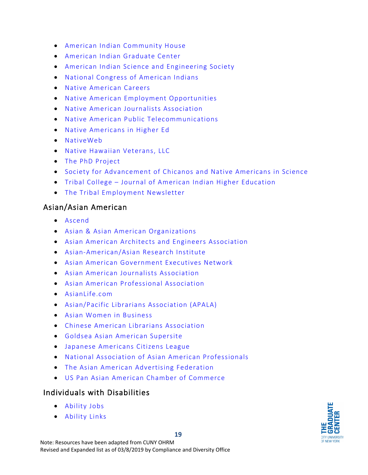- [American Indian Community House](https://aich.org/)
- [American Indian Graduate Center](https://www.aigcs.org/)
- [American Indian Science and Engineering Society](http://www.aises.org/)
- [National Congress of American Indians](http://www.ncai.org/resources/job-listings)
- [Native American Careers](https://www.nativeamericancareers.org/)
- [Native American Employment Opportunities](http://www.nativeamericanjobs.com/)
- [Native American Journalists Association](http://www.naja.com/)
- [Native American Public Telecommunications](http://www.nativetelecom.org/)
- [Native Americans in Higher Ed](http://nativeamericansinhighered.com/)
- [NativeWeb](http://www.nativeweb.org/community/jobs/)
- [Native Hawaiian Veterans, LLC](https://nativehawaiianveterans.applicantpro.com/jobs/)
- [The PhD Project](http://www.phdproject.org/)
- [Society for Advancement of Chicanos and Native Americans in Science](http://www.sacnas.org/)
- Tribal College [Journal of American Indian Higher Education](https://tribalcollegejournal.org/)
- [The Tribal Employment Newsletter](http://www.nativejobs.com/)

#### <span id="page-19-0"></span>Asian/Asian American

- [Ascend](http://www.ascendleadership.org/)
- [Asian & Asian American Organizations](http://www.awib.org/index.cfm?fuseaction=Page.viewPage&pageId=816&parentID=473&nodeID=1)
- [Asian American Architects and Engineers Association](http://www.aaaesc.org/)
- [Asian-American/Asian Research Institute](http://aaari.info/)
- [Asian American Government Executives Network](http://www.aagen.org/)
- [Asian American Journalists Association](http://www.aaja.org/)
- [Asian American Professional Association](http://www.aapamentoring.com/)
- [AsianLife.com](http://jobs.asianlife.com/)
- [Asian/Pacific Librarians Association \(APALA\)](http://www.apalaweb.org/)
- [Asian Women in Business](http://www.awib.org/)
- [Chinese American Librarians Association](http://www.cala-web.org/)
- [Goldsea Asian American Supersite](http://goldsea.com/)
- [Japanese Americans Citizens League](http://www.jacl.org/index.php)
- [National Association of Asian American Professionals](http://www.naaap.org/)
- [The Asian American Advertising Federation](http://www.3af.org/)
- [US Pan Asian American Chamber of Commerce](https://uspaacc.com/)

#### <span id="page-19-1"></span>Individuals with Disabilities

- [Ability Jobs](https://abilityjobs.com/)
- [Ability Links](https://abilitylinks.org/)

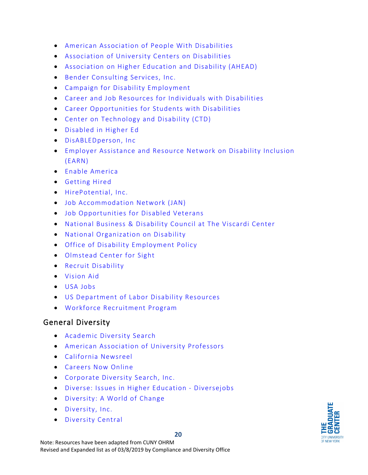- [American Association of People With Disabilities](http://www.aapd.com/)
- [Association of University Centers on Disabilities](http://aucd.org/)
- [Association on Higher Education and Disability \(AHEAD\)](http://www.ahead.org/)
- Bender [Consulting Services, Inc.](https://www.benderconsult.com/about-us)
- [Campaign for Disability Employment](https://www.whatcanyoudocampaign.org/)
- [Career and Job Resources for](https://www.careeronestop.org/ResourcesFor/WorkersWithDisabilities/workers-with-disabilities.aspx) Individuals with Disabilities
- [Career Opportunities for Students with Disabilities](http://www.cosdonline.org/home)
- [Center on Technology and Disability \(CTD\)](http://www.ctdinstitute.org/)
- [Disabled in Higher Ed](http://disabledinhighered.com/)
- [DisABLEDperson, Inc](https://www.disabledperson.com/)
- [Employer Assistance and Resource Network on Disability Inclusion](http://www.askearn.org/)  [\(EARN\)](http://www.askearn.org/)
- [Enable America](http://www.enableamerica.org/)
- [Getting Hired](http://www.gettinghired.com/)
- [HirePotential, Inc.](http://hirepotential.com/)
- [Job Accommodation Network \(JAN\)](http://askjan.org/)
- [Job Opportunities for Disabled Veterans](https://www.jofdav.com/)
- [National Business & Disability Council](https://www.viscardicenter.org/nbdc/) at The Viscardi Center
- [National Organization on Disability](http://www.nod.org/)
- [Office of Disability Employment Policy](http://www.dol.gov/odep)
- [Olmstead Center for Sight](http://olmstedcenter.org/)
- [Recruit Disability](http://recruitdisability.org/index.php)
- [Vision Aid](http://www.visionaid.org/)
- [USA Jobs](https://www.usajobs.gov/Help/working-in-government/unique-hiring-paths/individuals-with-disabilities/)
- [US Department of Labor Disability Resources](https://www.dol.gov/odep/topics/disability.htm)
- [Workforce Recruitment Program](http://wrp.jobs/)

#### <span id="page-20-0"></span>General Diversity

- [Academic Diversity Search](https://www.academicdiversitysearch.com/)
- [American Association of University Professors](http://www.aaup.org/)
- [California Newsreel](http://www.newsreel.org/)
- [Careers Now Online](http://www.careersnow.online/)
- [Corporate Diversity Search, Inc.](http://www.corpdiversitysearch.com/)
- [Diverse: Issues in Higher Education](https://jobs.diversejobs.net/) Diversejobs
- [Diversity: A World of Change](http://www.diversity.com/)
- [Diversity, Inc.](http://www.diversityinc.com/)
- [Diversity Central](http://www.diversitycentral.com/index.php)

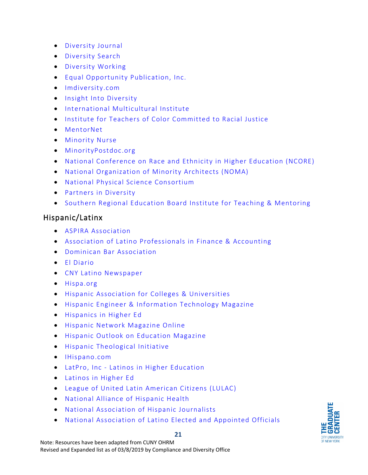- [Diversity Journal](http://www.diversityjournal.com/)
- [Diversity Search](http://www.diversitysearch.com/)
- [Diversity Working](http://diversityworking.com/)
- [Equal Opportunity Publication, Inc.](https://www.eop.com/career.php)
- [Imdiversity.com](https://jobs.imdiversity.com/)
- [Insight Into Diversity](http://www.insightintodiversity.com/)
- [International Multicultural Institute](http://imciglobal.org/)
- [Institute for Teachers of Color Committed to Racial Justice](http://www.instituteforteachersofcolor.org/)
- [MentorNet](http://www.mentornet.net/)
- [Minority Nurse](http://minoritynurse.com/)
- [MinorityPostdoc.org](http://www.minoritypostdoc.org/)
- [National Conference on Race and Ethnicity in Higher Education \(NCORE\)](http://www.ncore.ou.edu/)
- [National Organization of Minority Architects \(NOMA\)](http://www.noma.net/)
- [National Physical Science Consortium](http://www.npsc.org/)
- [Partners in Diversity](https://www.partnersindiversity.org/)
- [Southern Regional Education Board Institute for Teaching & Mentoring](https://www.sreb.org/institute-teaching-and-mentoring)

## <span id="page-21-0"></span>Hispanic/Latinx

- [ASPIRA Association](https://aspira.org/)
- [Association of Latino Professionals in Finance & Accounting](http://www.alpfa.org/)
- [Dominican Bar Association](http://www.dominicanbarassociation.org/)
- [El Diario](http://www.eldiariony.com/)
- [CNY Latino Newspaper](http://www.cnylatino.com/)
- [Hispa.org](https://www.hispa.org/)
- [Hispanic Association for Colleges & Universities](http://www.hacu.net/)
- [Hispanic Engineer & Information Technology Magazine](http://www.hispanicengineer.com/)
- [Hispanics in Higher Ed](http://www.hispanicsinhighered.com/)
- [Hispanic Network Magazine Online](http://www.hnmagazine.com/)
- [Hispanic Outlook on](https://hispanicoutlookjobs.com/) Education Magazine
- [Hispanic Theological Initiative](http://hti.ptsem.edu/)
- [IHispano.com](http://ihispano.com/)
- LatPro, Inc [Latinos in Higher Education](http://www.latpro.com/)
- [Latinos in Higher Ed](https://www.latinosinhighered.com/)
- [League of United Latin American Citizens](http://www.lulac.org/) (LULAC)
- [National Alliance of Hispanic Health](https://www.healthyamericas.org/)
- [National Association of Hispanic Journalists](http://www.nahj.org/)
- [National Association of Latino Elected and Appointed Officials](http://www.naleo.org/)

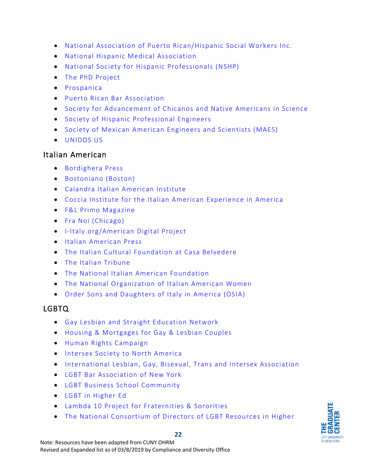- [National Association of Puerto Rican/Hispanic Social Workers Inc.](http://www.naprhsw.com/)
- [National Hispanic Medical Association](http://www.nhmamd.org/)
- [National Society for Hispanic Professionals \(NSHP\)](http://network.nshp.org/)
- [The PhD Project](http://www.phdproject.org/)
- [Prospanica](https://jobs.prospanica.org/)
- [Puerto Rican Bar Association](http://prbany.com/)
- [Society for Advancement of Chicanos and Native Americans in Science](http://www.sacnas.org/)
- [Society of Hispanic Professional Engineers](http://www.shpe.org/)
- [Society of Mexican American Engineers and Scientists \(MAES\)](http://mymaes.org/)
- [UNIDOS US](https://www.unidosus.org/)

#### <span id="page-22-0"></span>Italian American

- [Bordighera Press](http://bordigherapress.org/)
- [Bostoniano \(Boston\)](http://bostoniano.info/)
- [Calandra Italian American Institute](https://calandrainstitute.org/)
- [Coccia Institute for the Italian American Experience in America](https://www.montclair.edu/coccia-institute/)
- [F&L Primo Magazine](http://www.onlineprimo.com/)
- [Fra Noi \(Chicago\)](http://www.franoi.com/)
- [I-Italy.org/American Digital Project](http://www.iitaly.org/)
- [Italian American Press](http://www.italianamericanpress.com/)
- [The Italian Cultural Foundation at Casa Belvedere](https://casa-belvedere.org/)
- [The Italian Tribune](http://www.italiantribune.com/)
- [The National Italian American Foundation](http://www.niaf.org/)
- [The National Organization of Italian American Women](http://www.noiaw.org/mission/)
- [Order Sons and Daughters of Italy in America \(OSIA\)](https://www.osia.org/)

#### <span id="page-22-1"></span>LGBTQ

- [Gay Lesbian and Straight Education Network](https://www.glsen.org/)
- [Housing & Mortgages for Gay & Lesbian Couples](http://www.mortgageloan.com/lgbt/)
- [Human Rights Campaign](http://www.hrc.org/)
- [Intersex Society to North America](http://www.isna.org/)
- International Lesbian, [Gay, Bisexual, Trans and Intersex](https://ilga.org/) Association
- [LGBT Bar Association of New York](https://www.lgbtbarny.org/)
- [LGBT Business School Community](http://www.networkq.org/)
- [LGBT in Higher Ed](http://www.lgbtinhighered.com/)
- Lambda 10 Project [for Fraternities & Sororities](https://www.campuspride.org/lambda10/)
- [The National Consortium of Directors of LGBT Resources in Higher](http://www.lgbtcampus.org/)

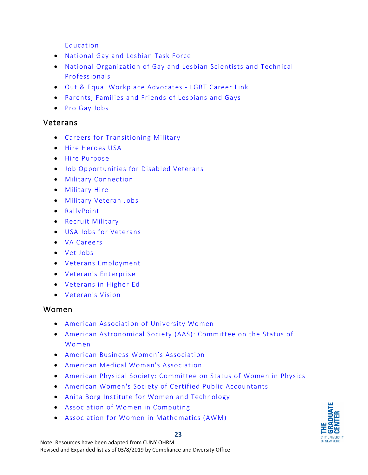[Education](http://www.lgbtcampus.org/)

- [National Gay and Lesbian Task Force](http://thetaskforce.org/)
- [National Organization of Gay and Lesbian Scientists and Technical](http://www.noglstp.org/)  [Professionals](http://www.noglstp.org/)
- [Out & Equal Workplace Advocates -](http://outandequal.org/lgbt-careerlink/) LGBT Career Link
- [Parents, Families and Friends of Lesbians and Gays](https://pflag.org/)
- [Pro Gay Jobs](http://www.progayjobs.com/)

#### <span id="page-23-0"></span>Veterans

- [Careers for Transitioning Military](http://www.taonline.com/)
- [Hire Heroes USA](https://www.hireheroesusa.org/)
- [Hire Purpose](https://www.hirepurpose.com/)
- [Job Opportunities for Disabled Veterans](https://www.jofdav.com/)
- [Military Connection](http://www.militaryconnection.com/)
- [Military Hire](http://www.militaryhire.com/)
- [Military Veteran Jobs](https://www.military.com/veteran-jobs)
- [RallyPoint](http://rallypoint.com/)
- [Recruit Military](https://recruitmilitary.com/)
- [USA Jobs for Veterans](https://www.usajobs.gov/Veterans/)
- [VA Careers](https://www.vacareers.va.gov/Benefits/HiringProgramsInitiatives)
- [Vet Jobs](http://www.vetjobs.com/)
- [Veterans Employment](https://veteransemployment.net/)
- [Veteran's Enterprise](http://www.veteransenterprise.com/)
- [Veterans in Higher Ed](http://www.veteransinhighered.com/)
- [Veteran's Vision](https://theveteransvision.com/)

#### <span id="page-23-1"></span>Women

- [American Association of University Women](http://www.aauw.org/)
- [American Astronomical Society \(AAS\): Committee on the Status of](http://www.aas.org/cswa/)  [Women](http://www.aas.org/cswa/)
- [American Business Women's Association](http://www.abwa.org/)
- [American Medical Woman's Association](http://www.amwa-doc.org/)
- [American Physical Society: Committee on Status of Women in Physics](http://www.aps.org/about/governance/committees/cswp/index.cfm)
- [American Women's Society of Certified Public Accountants](http://www.awscpa.org/)
- [Anita Borg Institute for Women and Technology](http://anitaborg.org/)
- [Association of Women in Computing](http://www.awc-hq.org/home.html)
- [Association for Women in Mathematics \(AWM\)](https://awm-math.org/)

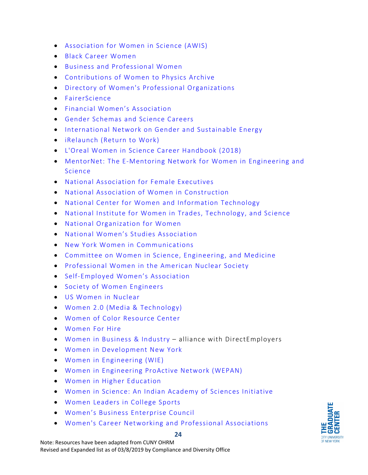- [Association for Women in Science \(AWIS\)](http://www.awis.org/)
- [Black Career Women](https://bcwnetwork.com/)
- Business [and Professional Women](https://www.ed2go.com/bpwfdn/)
- [Contributions of Women to Physics Archive](http://cwp.library.ucla.edu/)
- [Directory of Women's Professional Organizations](http://mith.umd.edu/womensstudies/ReferenceRoom/Directories/professional-organizations.html)
- [FairerScience](http://www.fairerscience.org/)
- [Financial Women's Association](https://fwa.org/)
- [Gender Schemas and Science Careers](http://www.hunter.cuny.edu/gendertutorial/)
- [International Network on Gender and Sustainable Energy](https://www.energia.org/)
- [iRelaunch](http://www.irelaunch.com/) (Return to Work)
- [L'Oreal Women in Science Career Handbook](http://www.sciencemag.org/booklets/2018-career-handbook) (2018)
- [MentorNet: The E-Mentoring Network for Women in Engineering and](http://www.mentornet.net/)  [Science](http://www.mentornet.net/)
- [National Association for Female Executives](http://www.nafe.com/)
- [National Association of Women in Construction](http://nawic-jobs.careerwebsite.com/)
- [National Center for Women and Information Technology](http://www.ncwit.org/)
- [National Institute for Women in Trades, Technology, and Science](http://www.iwitts.org/)
- [National Organization for Women](http://now.org/)
- [National Women's Studies Association](http://www.nwsa.org/)
- [New York Women in Communications](http://www.nywici.org/)
- [Committee on Women in Science,](http://sites.nationalacademies.org/pga/cwsem/) Engineering, and Medicine
- [Professional Women in the American Nuclear Society](http://committees.ans.org/pwans/)
- [Self-Employed Women's Association](http://www.sewa.org/)
- [Society of Women Engineers](http://societyofwomenengineers.swe.org/)
- [US Women in Nuclear](http://www.winus.org/)
- [Women 2.0 \(Media & Technology\)](https://women2.com/)
- [Women of Color Resource Center](https://changingthepresent.org/collections/women-of-color-resource-center)
- [Women For Hire](http://womenforhire.com/)
- [Women in Business & Industry –](http://www.wib-i.com/) alliance with DirectEmployers
- [Women in Development](https://widny.org/) New York
- [Women in Engineering \(WIE\)](https://wie.ieee.org/)
- [Women in Engineering ProActive Network \(WEPAN\)](http://www.wepan.org/)
- [Women in Higher Education](http://wihe.com/)
- [Women in Science: An Indian Academy of Sciences Initiative](http://www.ias.ac.in/womeninscience/whtsnew.html)
- [Women Leaders in College Sports](https://www.womenleadersincollegesports.org/)
- [Women's Business Enterprise Council](https://www.wbenc.org/)
- [Women's Career Networking and Professional Associations](https://www.livecareer.com/career/advice/jobs/womens-networking-organizations)



#### **24**

Note: Resources have been adapted from CUNY OHRM Revised and Expanded list as of 03/8/2019 by Compliance and Diversity Office